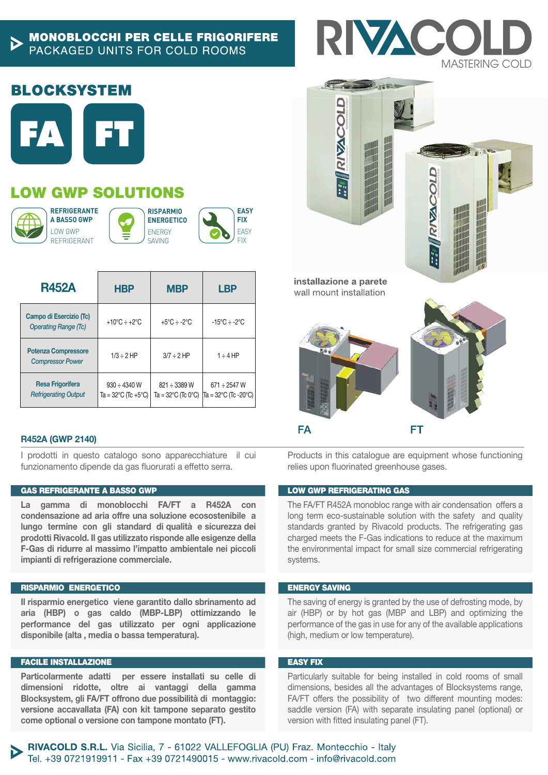### **MONOBLOCCHI PER CELLE FRIGORIFERE** PACKAGED UNITS FOR COLD ROOMS

## **BLOCKSYSTEM**



# LOW GWP SOLUTIONS



**REFRIGERANTE A BASSO GWP** LOW GWP REFRIGERANT





| <b>R452A</b>                                           | <b>HBP</b>                                                    | <b>MBP</b>                                              | <b>LBP</b>                                |
|--------------------------------------------------------|---------------------------------------------------------------|---------------------------------------------------------|-------------------------------------------|
| Campo di Esercizio (Tc)<br><b>Operating Range (Tc)</b> | +10 $^{\circ}$ C ÷ +2 $^{\circ}$ C                            | +5°C ÷ -2°C                                             | $-15^{\circ}$ C ÷ -2 $^{\circ}$ C         |
| <b>Potenza Compressore</b><br><b>Compressor Power</b>  | $1/3 \div 2$ HP                                               | $3/7 \div 2$ HP                                         | $1 \div 4$ HP                             |
| <b>Resa Frigorifera</b><br><b>Refrigerating Output</b> | $930 \div 4340$ W<br>Ta = $32^{\circ}$ C (Tc +5 $^{\circ}$ C) | 821 ÷ 3389 W<br>Ta = $32^{\circ}$ C (Tc 0 $^{\circ}$ C) | $671 \div 2547$ W<br>Ta = 32°C (Tc -20°C) |

#### R452A (GWP 2140)

I prodotti in questo catalogo sono apparecchiature il cui funzionamento dipende da gas fluorurati a effetto serra.

#### GAS REFRIGERANTE A BASSO GWP

La gamma di monoblocchi FA/FT a R452A con condensazione ad aria offre una soluzione ecosostenibile a lungo termine con gli standard di qualità e sicurezza dei prodotti Rivacold. Il gas utilizzato risponde alle esigenze della F-Gas di ridurre al massimo l'impatto ambientale nei piccoli impianti di refrigerazione commerciale.

#### RISPARMIO ENERGETICO

Il risparmio energetico viene garantito dallo sbrinamento ad aria (HBP) o gas caldo (MBP-LBP) ottimizzando le performance del gas utilizzato per ogni applicazione disponibile (alta , media o bassa temperatura).

#### FACILE INSTALLAZIONE

Particolarmente adatti per essere installati su celle di dimensioni ridotte, oltre ai vantaggi della gamma Blocksystem, gli FA/FT offrono due possibilità di montaggio: versione accavallata (FA) con kit tampone separato gestito come optional o versione con tampone montato (FT).



**CONTRACTOR** 





Products in this catalogue are equipment whose functioning relies upon fluorinated greenhouse gases.

#### LOW GWP REFRIGERATING GAS

The FA/FT R452A monobloc range with air condensation offers a long term eco-sustainable solution with the safety and quality standards granted by Rivacold products. The refrigerating gas charged meets the F-Gas indications to reduce at the maximum the environmental impact for small size commercial refrigerating systems.

#### ENERGY SAVING

The saving of energy is granted by the use of defrosting mode, by air (HBP) or by hot gas (MBP and LBP) and optimizing the performance of the gas in use for any of the available applications (high, medium or low temperature).

#### EASY FIX

Particularly suitable for being installed in cold rooms of small dimensions, besides all the advantages of Blocksystems range, FA/FT offers the possibility of two different mounting modes: saddle version (FA) with separate insulating panel (optional) or version with fitted insulating panel (FT).

RIVACOLD S.R.L. Via Sicilia, 7 - 61022 VALLEFOGLIA (PU) Fraz. Montecchio - Italy Tel. +39 0721919911 - Fax +39 0721490015 - www.rivacold.com - info@rivacold.com